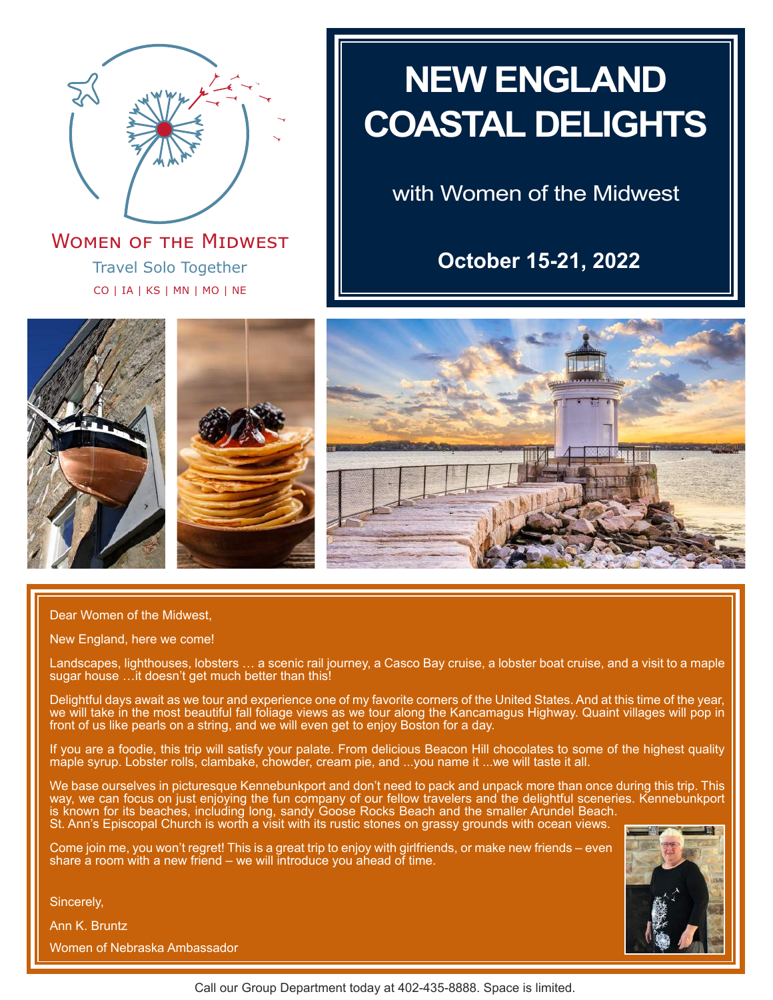

Travel Solo Together CO | IA | KS | MN | MO | NE **WOMEN OF THE MIDWEST** 

# **NEW ENGLAND COASTAL DELIGHTS**

with Women of the Midwest

**October 15-21, 2022**







Dear Women of the Midwest,

New England, here we come!

Landscapes, lighthouses, lobsters … a scenic rail journey, a Casco Bay cruise, a lobster boat cruise, and a visit to a maple sugar house …it doesn't get much better than this!

Delightful days await as we tour and experience one of my favorite corners of the United States. And at this time of the year, we will take in the most beautiful fall foliage views as we tour along the Kancamagus Highway. Quaint villages will pop in front of us like pearls on a string, and we will even get to enjoy Boston for a day.

If you are a foodie, this trip will satisfy your palate. From delicious Beacon Hill chocolates to some of the highest quality maple syrup. Lobster rolls, clambake, chowder, cream pie, and ...you name it ...we will taste it all.

We base ourselves in picturesque Kennebunkport and don't need to pack and unpack more than once during this trip. This way, we can focus on just enjoying the fun company of our fellow travelers and the delightful sceneries. Kennebunkport is known for its beaches, including long, sandy Goose Rocks Beach and the smaller Arundel Beach. St. Ann's Episcopal Church is worth a visit with its rustic stones on grassy grounds with ocean views.

Come join me, you won't regret! This is a great trip to enjoy with girlfriends, or make new friends – even share a room with a new friend – we will introduce you ahead of time.

Sincerely,

Ann K. Bruntz

Women of Nebraska Ambassador

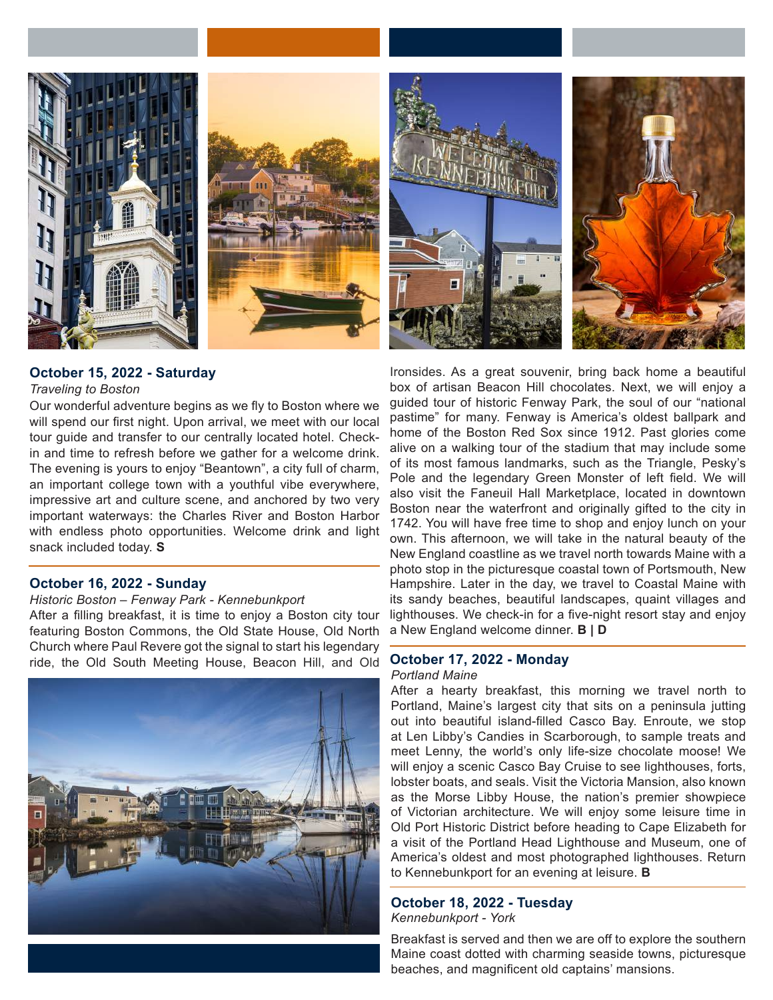





## **October 15, 2022 - Saturday**

#### *Traveling to Boston*

Our wonderful adventure begins as we fly to Boston where we will spend our first night. Upon arrival, we meet with our local tour guide and transfer to our centrally located hotel. Checkin and time to refresh before we gather for a welcome drink. The evening is yours to enjoy "Beantown", a city full of charm, an important college town with a youthful vibe everywhere, impressive art and culture scene, and anchored by two very important waterways: the Charles River and Boston Harbor with endless photo opportunities. Welcome drink and light snack included today. **S**

### **October 16, 2022 - Sunday**

#### *Historic Boston – Fenway Park - Kennebunkport*

After a filling breakfast, it is time to enjoy a Boston city tour featuring Boston Commons, the Old State House, Old North Church where Paul Revere got the signal to start his legendary ride, the Old South Meeting House, Beacon Hill, and Old



Ironsides. As a great souvenir, bring back home a beautiful box of artisan Beacon Hill chocolates. Next, we will enjoy a guided tour of historic Fenway Park, the soul of our "national pastime" for many. Fenway is America's oldest ballpark and home of the Boston Red Sox since 1912. Past glories come alive on a walking tour of the stadium that may include some of its most famous landmarks, such as the Triangle, Pesky's Pole and the legendary Green Monster of left field. We will also visit the Faneuil Hall Marketplace, located in downtown Boston near the waterfront and originally gifted to the city in 1742. You will have free time to shop and enjoy lunch on your own. This afternoon, we will take in the natural beauty of the New England coastline as we travel north towards Maine with a photo stop in the picturesque coastal town of Portsmouth, New Hampshire. Later in the day, we travel to Coastal Maine with its sandy beaches, beautiful landscapes, quaint villages and lighthouses. We check-in for a five-night resort stay and enjoy a New England welcome dinner. **B | D**

#### **October 17, 2022 - Monday** *Portland Maine*

After a hearty breakfast, this morning we travel north to Portland, Maine's largest city that sits on a peninsula jutting out into beautiful island-filled Casco Bay. Enroute, we stop at Len Libby's Candies in Scarborough, to sample treats and meet Lenny, the world's only life-size chocolate moose! We will enjoy a scenic Casco Bay Cruise to see lighthouses, forts, lobster boats, and seals. Visit the Victoria Mansion, also known as the Morse Libby House, the nation's premier showpiece of Victorian architecture. We will enjoy some leisure time in Old Port Historic District before heading to Cape Elizabeth for a visit of the Portland Head Lighthouse and Museum, one of America's oldest and most photographed lighthouses. Return to Kennebunkport for an evening at leisure. **B**

# **October 18, 2022 - Tuesday**

*Kennebunkport - York*

Breakfast is served and then we are off to explore the southern Maine coast dotted with charming seaside towns, picturesque beaches, and magnificent old captains' mansions.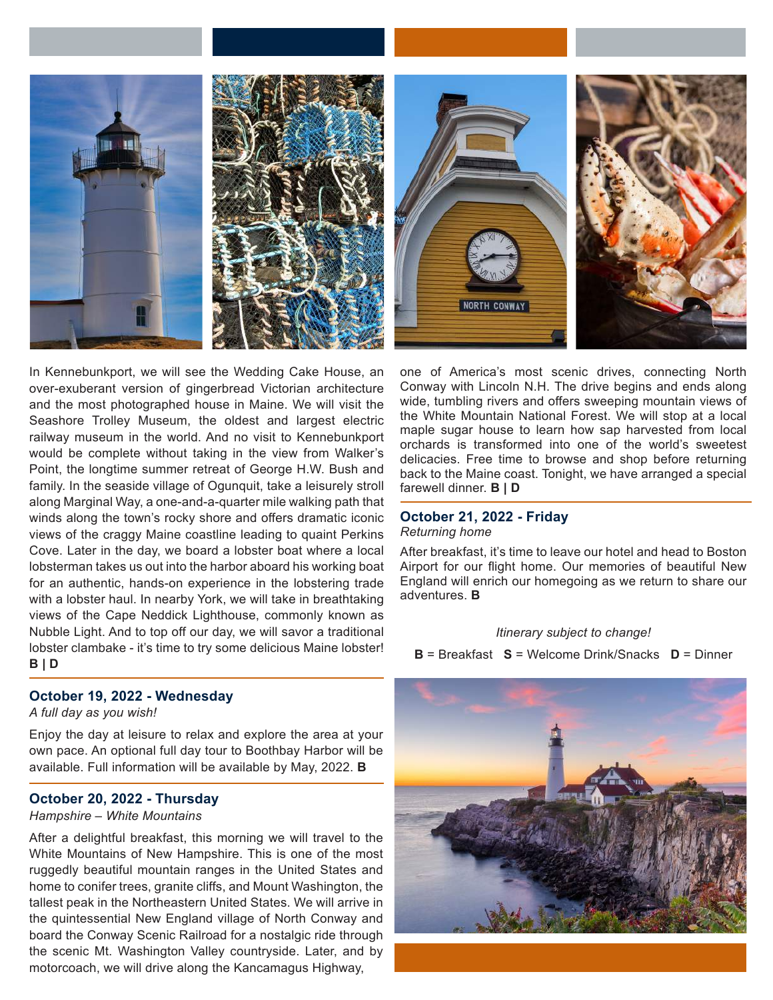





In Kennebunkport, we will see the Wedding Cake House, an over-exuberant version of gingerbread Victorian architecture and the most photographed house in Maine. We will visit the Seashore Trolley Museum, the oldest and largest electric railway museum in the world. And no visit to Kennebunkport would be complete without taking in the view from Walker's Point, the longtime summer retreat of George H.W. Bush and family. In the seaside village of Ogunquit, take a leisurely stroll along Marginal Way, a one-and-a-quarter mile walking path that winds along the town's rocky shore and offers dramatic iconic views of the craggy Maine coastline leading to quaint Perkins Cove. Later in the day, we board a lobster boat where a local lobsterman takes us out into the harbor aboard his working boat for an authentic, hands-on experience in the lobstering trade with a lobster haul. In nearby York, we will take in breathtaking views of the Cape Neddick Lighthouse, commonly known as Nubble Light. And to top off our day, we will savor a traditional lobster clambake - it's time to try some delicious Maine lobster! **B | D**

# **October 19, 2022 - Wednesday**

*A full day as you wish!*

Enjoy the day at leisure to relax and explore the area at your own pace. An optional full day tour to Boothbay Harbor will be available. Full information will be available by May, 2022. **B**

### **October 20, 2022 - Thursday**

#### *Hampshire – White Mountains*

After a delightful breakfast, this morning we will travel to the White Mountains of New Hampshire. This is one of the most ruggedly beautiful mountain ranges in the United States and home to conifer trees, granite cliffs, and Mount Washington, the tallest peak in the Northeastern United States. We will arrive in the quintessential New England village of North Conway and board the Conway Scenic Railroad for a nostalgic ride through the scenic Mt. Washington Valley countryside. Later, and by motorcoach, we will drive along the Kancamagus Highway,

one of America's most scenic drives, connecting North Conway with Lincoln N.H. The drive begins and ends along wide, tumbling rivers and offers sweeping mountain views of the White Mountain National Forest. We will stop at a local maple sugar house to learn how sap harvested from local orchards is transformed into one of the world's sweetest delicacies. Free time to browse and shop before returning back to the Maine coast. Tonight, we have arranged a special farewell dinner. **B | D**

#### **October 21, 2022 - Friday** *Returning home*

After breakfast, it's time to leave our hotel and head to Boston Airport for our flight home. Our memories of beautiful New England will enrich our homegoing as we return to share our adventures. **B**

#### *Itinerary subject to change!*

**B** = Breakfast **S** = Welcome Drink/Snacks **D** = Dinner

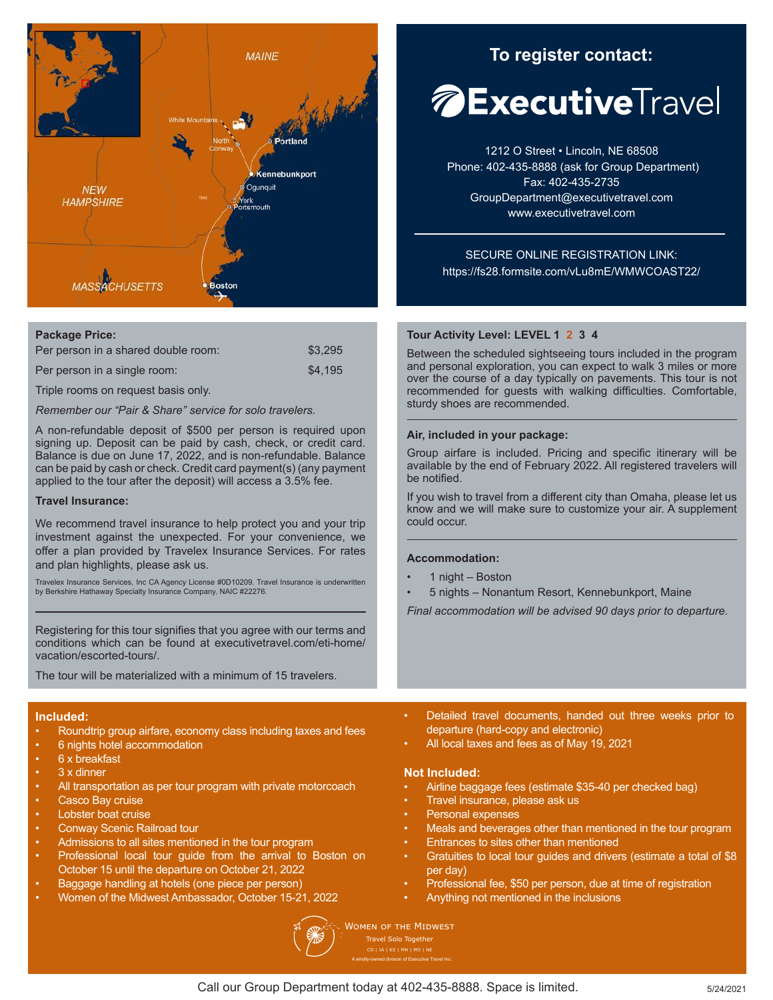

### **Package Price:**

| Per person in a shared double room: | \$3.295 |
|-------------------------------------|---------|
| Per person in a single room:        | \$4.195 |

Triple rooms on request basis only.

*Remember our "Pair & Share" service for solo travelers.*

A non-refundable deposit of \$500 per person is required upon signing up. Deposit can be paid by cash, check, or credit card. Balance is due on June 17, 2022, and is non-refundable. Balance can be paid by cash or check. Credit card payment(s) (any payment applied to the tour after the deposit) will access a 3.5% fee.

#### **Travel Insurance:**

We recommend travel insurance to help protect you and your trip investment against the unexpected. For your convenience, we offer a plan provided by Travelex Insurance Services. For rates and plan highlights, please ask us.

Travelex Insurance Services, Inc CA Agency License #0D10209. Travel Insurance is underwritten by Berkshire Hathaway Specialty Insurance Company, NAIC #22276.

Registering for this tour signifies that you agree with our terms and conditions which can be found at executivetravel.com/eti-home/ vacation/escorted-tours/.

The tour will be materialized with a minimum of 15 travelers.

#### **Included:**

- Roundtrip group airfare, economy class including taxes and fees
- 6 nights hotel accommodation
- 6 x breakfast
- 3 x dinner
- All transportation as per tour program with private motorcoach
- Casco Bay cruise
- Lobster boat cruise
- Conway Scenic Railroad tour
- Admissions to all sites mentioned in the tour program
- Professional local tour guide from the arrival to Boston on October 15 until the departure on October 21, 2022
- Baggage handling at hotels (one piece per person)
- Women of the Midwest Ambassador, October 15-21, 2022



**To register contact: To register contact:**

# **Executive**Travel

1212 O Street • Lincoln, NE 68508 Phone: 402-435-8888 (ask for Group Department) Fax: 402-435-2735 GroupDepartment@executivetravel.com www.executivetravel.com

SECURE ONLINE REGISTRATION LINK: https://fs28.formsite.com/vLu8mE/WMWCOAST22/

#### **Tour Activity Level: LEVEL 1 2 3 4**

Between the scheduled sightseeing tours included in the program and personal exploration, you can expect to walk 3 miles or more over the course of a day typically on pavements. This tour is not recommended for guests with walking difficulties. Comfortable, sturdy shoes are recommended.

#### **Air, included in your package:**

Group airfare is included. Pricing and specific itinerary will be available by the end of February 2022. All registered travelers will be notified.

If you wish to travel from a different city than Omaha, please let us know and we will make sure to customize your air. A supplement could occur.

#### **Accommodation:**

- 1 night Boston
- 5 nights Nonantum Resort, Kennebunkport, Maine

*Final accommodation will be advised 90 days prior to departure.*

- Detailed travel documents, handed out three weeks prior to departure (hard-copy and electronic)
- All local taxes and fees as of May 19, 2021

#### **Not Included:**

- Airline baggage fees (estimate \$35-40 per checked bag)
- Travel insurance, please ask us
- Personal expenses
- Meals and beverages other than mentioned in the tour program
- Entrances to sites other than mentioned
- Gratuities to local tour guides and drivers (estimate a total of \$8 per day)
- Professional fee, \$50 per person, due at time of registration
- Anything not mentioned in the inclusions

**WOMEN OF THE MIDWEST** Travel Solo Together A wholly-owned division of Executive Travel Inc.

Call our Group Department today at 402-435-8888. Space is limited.